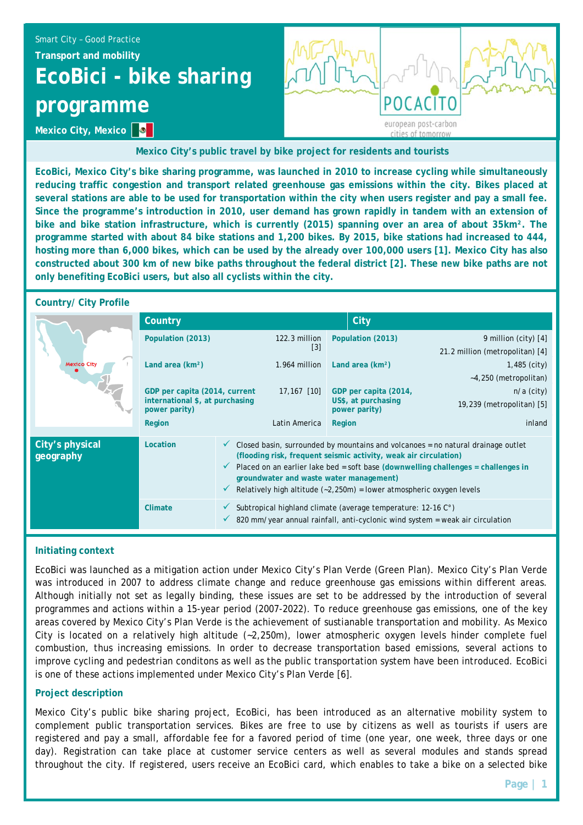# Smart City – Good Practice **Transport and mobility EcoBici - bike sharing programme**



**Mexico City's public travel by bike project for residents and tourists** 

**EcoBici, Mexico City's bike sharing programme, was launched in 2010 to increase cycling while simultaneously reducing traffic congestion and transport related greenhouse gas emissions within the city. Bikes placed at several stations are able to be used for transportation within the city when users register and pay a small fee. Since the programme's introduction in 2010, user demand has grown rapidly in tandem with an extension of bike and bike station infrastructure, which is currently (2015) spanning over an area of about 35km². The programme started with about 84 bike stations and 1,200 bikes. By 2015, bike stations had increased to 444, hosting more than 6,000 bikes, which can be used by the already over 100,000 users [1]. Mexico City has also constructed about 300 km of new bike paths throughout the federal district [2]. These new bike paths are not only benefiting EcoBici users, but also all cyclists within the city.** 

# **Country/ City Profile**

**Mexico City, Mexico**  $\bullet$ 

| <b>Mexico City</b>           | Country                                                                           |                                                                                                                                                                                                                                                                                                                                                                |                                    |                   | City                                                           |                                                         |
|------------------------------|-----------------------------------------------------------------------------------|----------------------------------------------------------------------------------------------------------------------------------------------------------------------------------------------------------------------------------------------------------------------------------------------------------------------------------------------------------------|------------------------------------|-------------------|----------------------------------------------------------------|---------------------------------------------------------|
|                              | Population (2013)                                                                 |                                                                                                                                                                                                                                                                                                                                                                | 122.3 million<br>$\lceil 3 \rceil$ | Population (2013) |                                                                | 9 million (city) [4]<br>21.2 million (metropolitan) [4] |
|                              | Land area (km <sup>2</sup> )                                                      |                                                                                                                                                                                                                                                                                                                                                                | 1.964 million                      |                   | Land area $(km2)$<br>$1,485$ (city)<br>$-4,250$ (metropolitan) |                                                         |
|                              | GDP per capita (2014, current<br>international \$, at purchasing<br>power parity) |                                                                                                                                                                                                                                                                                                                                                                | 17,167 [10]                        |                   | GDP per capita (2014,<br>US\$, at purchasing<br>power parity)  | $n/a$ (city)<br>19,239 (metropolitan) [5]               |
|                              | Region                                                                            |                                                                                                                                                                                                                                                                                                                                                                | Latin America                      | Region            |                                                                | inland                                                  |
| City's physical<br>geography | Location                                                                          | Closed basin, surrounded by mountains and volcanoes = no natural drainage outlet<br>(flooding risk, frequent seismic activity, weak air circulation)<br>Placed on an earlier lake bed = soft base (downwelling challenges = challenges in<br>groundwater and waste water management)<br>Relatively high altitude $(-2,250m)$ = lower atmospheric oxygen levels |                                    |                   |                                                                |                                                         |
|                              | Climate                                                                           | Subtropical highland climate (average temperature: 12-16 C°)<br>820 mm/year annual rainfall, anti-cyclonic wind system = weak air circulation                                                                                                                                                                                                                  |                                    |                   |                                                                |                                                         |

# **Initiating context**

EcoBici was launched as a mitigation action under Mexico City's Plan Verde (Green Plan). Mexico City's Plan Verde was introduced in 2007 to address climate change and reduce greenhouse gas emissions within different areas. Although initially not set as legally binding, these issues are set to be addressed by the introduction of several programmes and actions within a 15-year period (2007-2022). To reduce greenhouse gas emissions, one of the key areas covered by Mexico City's Plan Verde is the achievement of sustianable transportation and mobility. As Mexico City is located on a relatively high altitude (~2,250m), lower atmospheric oxygen levels hinder complete fuel combustion, thus increasing emissions. In order to decrease transportation based emissions, several actions to improve cycling and pedestrian conditons as well as the public transportation system have been introduced. EcoBici is one of these actions implemented under Mexico City's Plan Verde [6].

#### **Project description**

Mexico City's public bike sharing project, EcoBici, has been introduced as an alternative mobility system to complement public transportation services. Bikes are free to use by citizens as well as tourists if users are registered and pay a small, affordable fee for a favored period of time (one year, one week, three days or one day). Registration can take place at customer service centers as well as several modules and stands spread throughout the city. If registered, users receive an EcoBici card, which enables to take a bike on a selected bike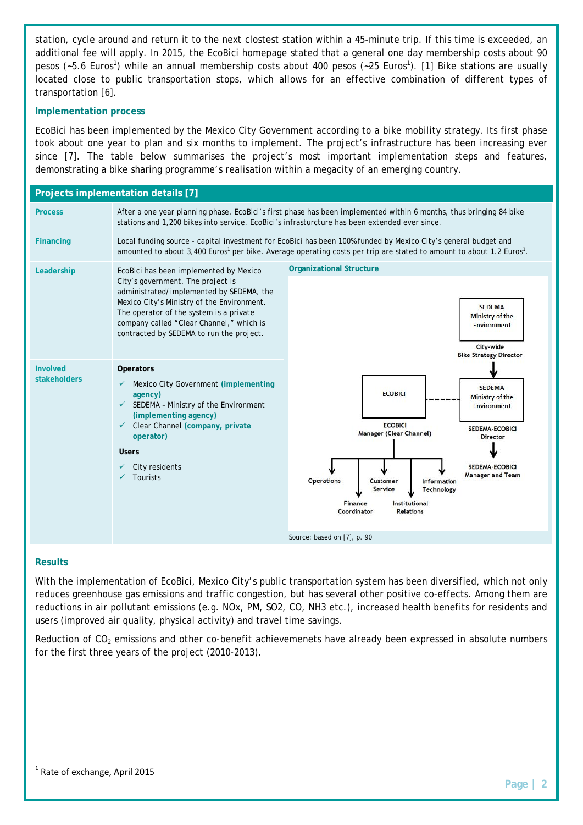station, cycle around and return it to the next clostest station within a 45-minute trip. If this time is exceeded, an additional fee will apply. In 2015, the EcoBici homepage stated that a general one day membership costs about 90 pesos (~5.6 Euros<sup>1</sup>) while an annual membership costs about 400 pesos (~25 Euros<sup>1</sup>). [1] Bike stations are usually located close to public transportation stops, which allows for an effective combination of different types of transportation [6].

## **Implementation process**

EcoBici has been implemented by the Mexico City Government according to a bike mobility strategy. Its first phase took about one year to plan and six months to implement. The project's infrastructure has been increasing ever since [7]. The table below summarises the project's most important implementation steps and features, demonstrating a bike sharing programme's realisation within a megacity of an emerging country.



# **Results**

With the implementation of EcoBici, Mexico City's public transportation system has been diversified, which not only reduces greenhouse gas emissions and traffic congestion, but has several other positive co-effects. Among them are reductions in air pollutant emissions (e.g. NOx, PM, SO2, CO, NH3 etc.), increased health benefits for residents and users (improved air quality, physical activity) and travel time savings.

Reduction of  $CO<sub>2</sub>$  emissions and other co-benefit achievemenets have already been expressed in absolute numbers for the first three years of the project (2010-2013).